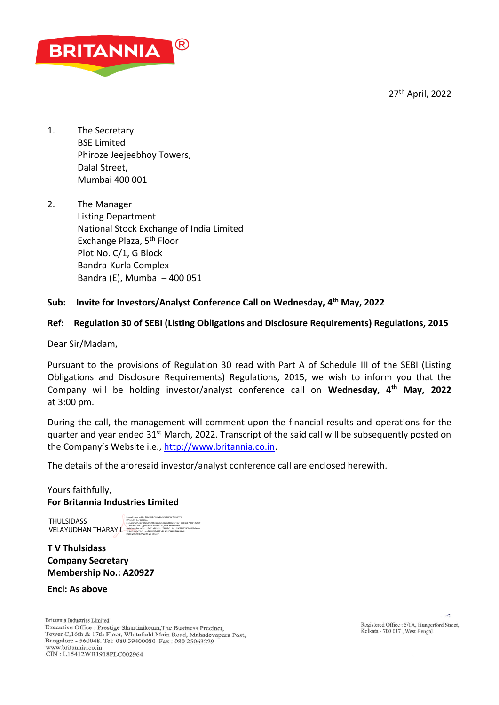27th April, 2022



- 1. The Secretary BSE Limited Phiroze Jeejeebhoy Towers, Dalal Street, Mumbai 400 001
- 2. The Manager Listing Department National Stock Exchange of India Limited Exchange Plaza, 5th Floor Plot No. C/1, G Block Bandra-Kurla Complex Bandra (E), Mumbai – 400 051

## **Sub: Invite for Investors/Analyst Conference Call on Wednesday, 4 th May, 2022**

## **Ref: Regulation 30 of SEBI (Listing Obligations and Disclosure Requirements) Regulations, 2015**

Dear Sir/Madam,

Pursuant to the provisions of Regulation 30 read with Part A of Schedule III of the SEBI (Listing Obligations and Disclosure Requirements) Regulations, 2015, we wish to inform you that the Company will be holding investor/analyst conference call on **Wednesday, 4th May, 2022**  at 3:00 pm.

During the call, the management will comment upon the financial results and operations for the quarter and year ended 31<sup>st</sup> March, 2022. Transcript of the said call will be subsequently posted on the Company's Website i.e., [http://www.britannia.co.in.](http://www.britannia.co.in/)

The details of the aforesaid investor/analyst conference call are enclosed herewith.

# Yours faithfully, **For Britannia Industries Limited**

**THULSIDASS** VELAYUDHAN THARAYJL

Digitally signed by THULSIDASS VELAYUDHAN THARAYIL DN: c=IN, o=Personal, pseudonym=b310fd6cfe2963bc5dc5eaa5d0c92c71671bbbb787d10125959 32840997d86d2, postalCode=560102, st=KARNATAKA, serialNumber=47a1cc7402e39351d17484fa212acb590f32274f5e215b96de 758aa514d670c2, cn=THULSIDASS VELAYUDHAN THARAYIL Date: 2022.04.27 22:15:25 +05'30'

**T V Thulsidass Company Secretary Membership No.: A20927**

**Encl: As above**

Britannia Industries Limited Executive Office : Prestige Shantiniketan, The Business Precinct, Tower C,16th & 17th Floor, Whitefield Main Road, Mahadevapura Post, Bangalore - 560048. Tel: 080 39400080 Fax: 080 25063229 www.britannia.co.in<br>CIN : L15412WB1918PLC002964